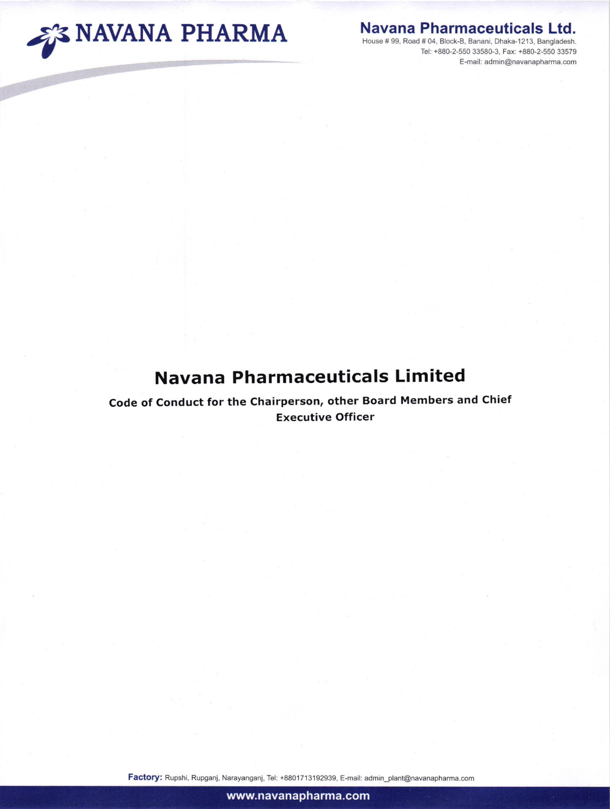

## Navana Pharmaceuticals Ltd.

Tel: +880-2-550 33580-3, Faxi +880-2-550 33579 E-mail: admin@navanapharma.com

## Navana Pharmaceuticals Limited

Code of Conduct for the Chairperson, other Board Members and Chief Executive Officer

Factory: Rupshi, Rupganj, Narayanganj, Tel: +8801713192939, E-mail: admin\_plant@navanapharma.com